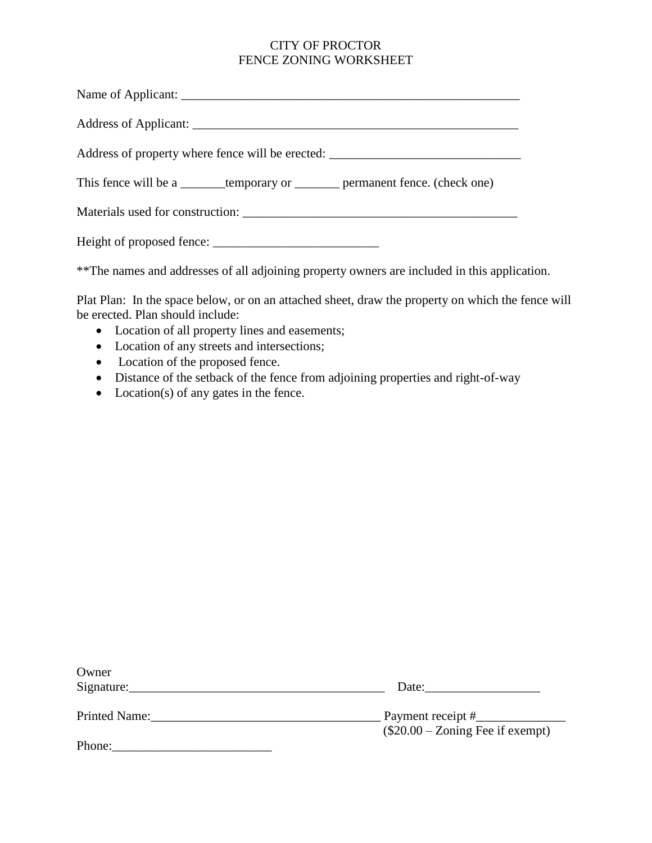## CITY OF PROCTOR FENCE ZONING WORKSHEET

| Address of property where fence will be erected:                                     |
|--------------------------------------------------------------------------------------|
| This fence will be a <u>______</u> temporary or _______ permanent fence. (check one) |
|                                                                                      |
|                                                                                      |

\*\*The names and addresses of all adjoining property owners are included in this application.

Plat Plan: In the space below, or on an attached sheet, draw the property on which the fence will be erected. Plan should include:

- Location of all property lines and easements;
- Location of any streets and intersections;
- Location of the proposed fence.
- Distance of the setback of the fence from adjoining properties and right-of-way
- Location(s) of any gates in the fence.

| Owner         |                                   |
|---------------|-----------------------------------|
| Signature:    | Date:                             |
| Printed Name: | Payment receipt #__               |
|               | $($20.00 - Zoning$ Fee if exempt) |
| Phone:        |                                   |